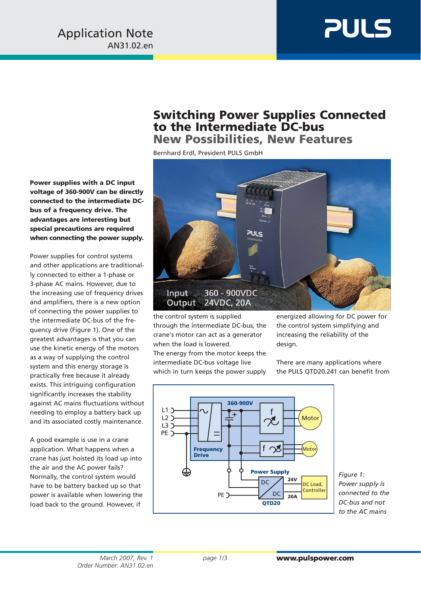## **PULS**

## **Switching Power Supplies Connected to the Intermediate DC-bus New Possibilities, New Features**

Bernhard Erdl, President PULS GmbH



the control system is supplied through the intermediate DC-bus, the crane's motor can act as a generator when the load is lowered. The energy from the motor keeps the intermediate DC-bus voltage live which in turn keeps the power supply energized allowing for DC power for the control system simplifying and increasing the reliability of the design.

There are many applications where the PULS QTD20.241 can benefit from



*Figure 1: Power supply is connected to the DC-bus and not to the AC mains*

**Power supplies with a DC input voltage of 360-900V can be directly connected to the intermediate DCbus of a frequency drive. The advantages are interesting but special precautions are required when connecting the power supply.**

Power supplies for control systems and other applications are traditionally connected to either a 1-phase or 3-phase AC mains. However, due to the increasing use of frequency drives and amplifiers, there is a new option of connecting the power supplies to the intermediate DC-bus of the frequency drive (Figure 1). One of the greatest advantages is that you can use the kinetic energy of the motors as a way of supplying the control system and this energy storage is practically free because it already exists. This intriguing configuration significantly increases the stability against AC mains fluctuations without needing to employ a battery back up and its associated costly maintenance.

A good example is use in a crane application. What happens when a crane has just hoisted its load up into the air and the AC power fails? Normally, the control system would have to be battery backed up so that power is available when lowering the load back to the ground. However, if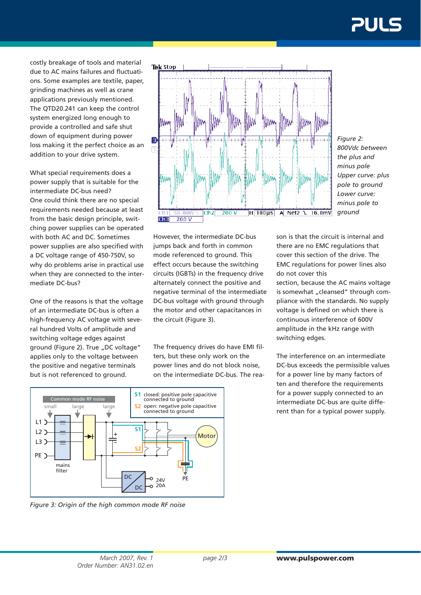costly breakage of tools and material due to AC mains failures and fluctuations. Some examples are textile, paper, grinding machines as well as crane applications previously mentioned. The QTD20.241 can keep the control system energized long enough to provide a controlled and safe shut down of equipment during power loss making it the perfect choice as an addition to your drive system.

What special requirements does a power supply that is suitable for the intermediate DC-bus need? One could think there are no special requirements needed because at least from the basic design principle, switching power supplies can be operated with both AC and DC. Sometimes power supplies are also specified with a DC voltage range of 450-750V, so why do problems arise in practical use when they are connected to the intermediate DC-bus?

One of the reasons is that the voltage of an intermediate DC-bus is often a high-frequency AC voltage with several hundred Volts of amplitude and switching voltage edges against ground (Figure 2). True "DC voltage" applies only to the voltage between the positive and negative terminals but is not referenced to ground.



*Figure 2: 800Vdc between the plus and minus pole Upper curve: plus pole to ground Lower curve: minus pole to ground*

However, the intermediate DC-bus jumps back and forth in common mode referenced to ground. This effect occurs because the switching circuits (IGBTs) in the frequency drive alternately connect the positive and negative terminal of the intermediate DC-bus voltage with ground through the motor and other capacitances in the circuit (Figure 3).

The frequency drives do have EMI filters, but these only work on the power lines and do not block noise, on the intermediate DC-bus. The reason is that the circuit is internal and there are no EMC regulations that cover this section of the drive. The EMC regulations for power lines also do not cover this

section, because the AC mains voltage is somewhat "cleansed" through compliance with the standards. No supply voltage is defined on which there is continuous interference of 600V amplitude in the kHz range with switching edges.

The interference on an intermediate DC-bus exceeds the permissible values for a power line by many factors of ten and therefore the requirements for a power supply connected to an intermediate DC-bus are quite different than for a typical power supply.



*Figure 3: Origin of the high common mode RF noise*